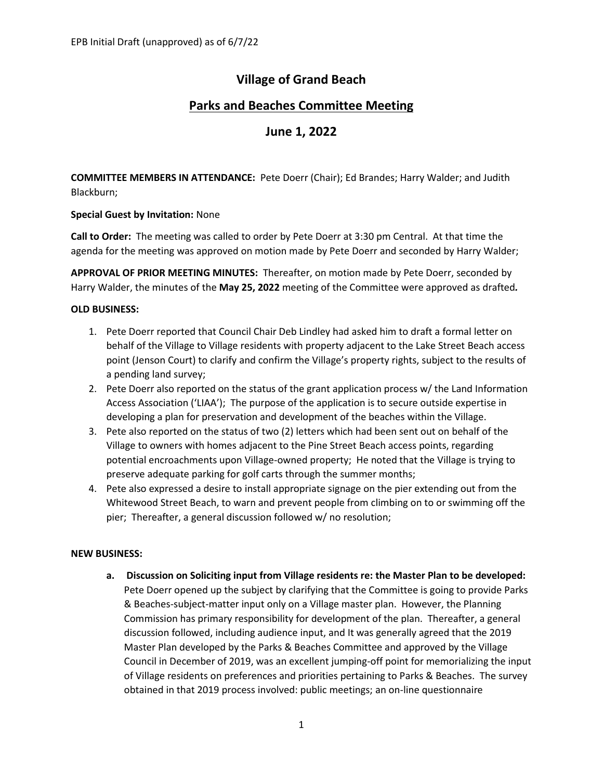# **Village of Grand Beach**

## **Parks and Beaches Committee Meeting**

### **June 1, 2022**

**COMMITTEE MEMBERS IN ATTENDANCE:** Pete Doerr (Chair); Ed Brandes; Harry Walder; and Judith Blackburn;

#### **Special Guest by Invitation:** None

**Call to Order:** The meeting was called to order by Pete Doerr at 3:30 pm Central. At that time the agenda for the meeting was approved on motion made by Pete Doerr and seconded by Harry Walder;

**APPROVAL OF PRIOR MEETING MINUTES:** Thereafter, on motion made by Pete Doerr, seconded by Harry Walder, the minutes of the **May 25, 2022** meeting of the Committee were approved as drafted*.*

#### **OLD BUSINESS:**

- 1. Pete Doerr reported that Council Chair Deb Lindley had asked him to draft a formal letter on behalf of the Village to Village residents with property adjacent to the Lake Street Beach access point (Jenson Court) to clarify and confirm the Village's property rights, subject to the results of a pending land survey;
- 2. Pete Doerr also reported on the status of the grant application process w/ the Land Information Access Association ('LIAA'); The purpose of the application is to secure outside expertise in developing a plan for preservation and development of the beaches within the Village.
- 3. Pete also reported on the status of two (2) letters which had been sent out on behalf of the Village to owners with homes adjacent to the Pine Street Beach access points, regarding potential encroachments upon Village-owned property; He noted that the Village is trying to preserve adequate parking for golf carts through the summer months;
- 4. Pete also expressed a desire to install appropriate signage on the pier extending out from the Whitewood Street Beach, to warn and prevent people from climbing on to or swimming off the pier; Thereafter, a general discussion followed w/ no resolution;

#### **NEW BUSINESS:**

**a. Discussion on Soliciting input from Village residents re: the Master Plan to be developed:**  Pete Doerr opened up the subject by clarifying that the Committee is going to provide Parks & Beaches-subject-matter input only on a Village master plan. However, the Planning Commission has primary responsibility for development of the plan. Thereafter, a general discussion followed, including audience input, and It was generally agreed that the 2019 Master Plan developed by the Parks & Beaches Committee and approved by the Village Council in December of 2019, was an excellent jumping-off point for memorializing the input of Village residents on preferences and priorities pertaining to Parks & Beaches. The survey obtained in that 2019 process involved: public meetings; an on-line questionnaire